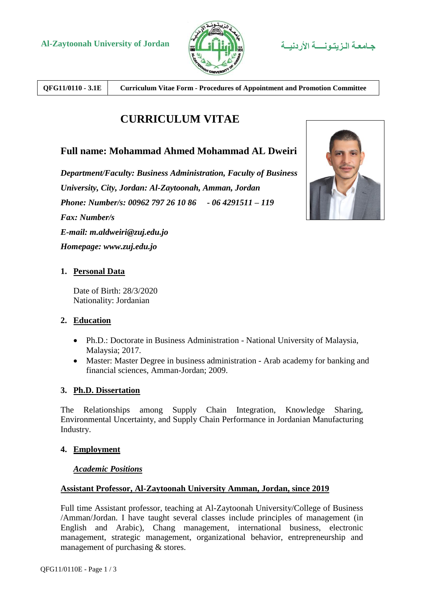

**QFG11/0110 - 3.1E Curriculum Vitae Form - Procedures of Appointment and Promotion Committee**

# **CURRICULUM VITAE**

# **Full name: Mohammad Ahmed Mohammad AL Dweiri**

*Department/Faculty: Business Administration, Faculty of Business University, City, Jordan: Al-Zaytoonah, Amman, Jordan Phone: Number/s: 00962 797 26 10 86 - 06 4291511 – 119 Fax: Number/s E-mail: m.aldweiri@zuj.edu.jo Homepage: www.zuj.edu.jo*



## **1. Personal Data**

Date of Birth: 28/3/2020 Nationality: Jordanian

#### **2. Education**

- Ph.D.: Doctorate in Business Administration National University of Malaysia, Malaysia; 2017.
- Master: Master Degree in business administration Arab academy for banking and financial sciences, Amman-Jordan; 2009.

## **3. Ph.D. Dissertation**

The Relationships among Supply Chain Integration, Knowledge Sharing, Environmental Uncertainty, and Supply Chain Performance in Jordanian Manufacturing Industry.

#### **4. Employment**

#### *Academic Positions*

#### **Assistant Professor, Al-Zaytoonah University Amman, Jordan, since 2019**

Full time Assistant professor, teaching at Al-Zaytoonah University/College of Business /Amman/Jordan. I have taught several classes include principles of management (in English and Arabic), Chang management, international business, electronic management, strategic management, organizational behavior, entrepreneurship and management of purchasing & stores.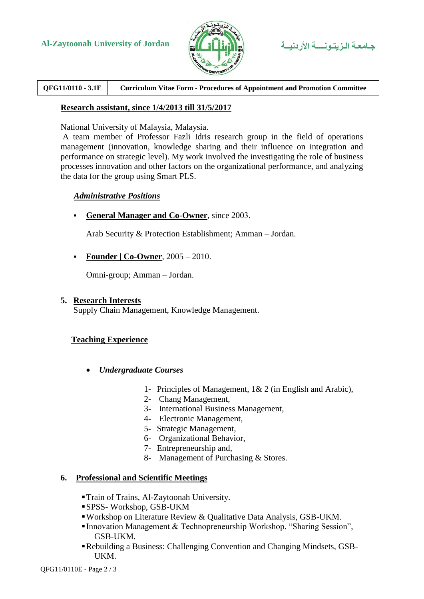



**QFG11/0110 - 3.1E Curriculum Vitae Form - Procedures of Appointment and Promotion Committee**

#### **Research assistant, since 1/4/2013 till 31/5/2017**

National University of Malaysia, Malaysia.

A team member of Professor Fazli Idris research group in the field of operations management (innovation, knowledge sharing and their influence on integration and performance on strategic level). My work involved the investigating the role of business processes innovation and other factors on the organizational performance, and analyzing the data for the group using Smart PLS.

#### *Administrative Positions*

**General Manager and Co-Owner**, since 2003.

Arab Security & Protection Establishment; Amman – Jordan.

**Founder | Co-Owner**, 2005 – 2010.

Omni-group; Amman – Jordan.

#### **5. Research Interests**

Supply Chain Management, Knowledge Management.

#### **Teaching Experience**

- *Undergraduate Courses*
	- 1- Principles of Management, 1& 2 (in English and Arabic),
	- 2- Chang Management,
	- 3- International Business Management,
	- 4- Electronic Management,
	- 5- Strategic Management,
	- 6- Organizational Behavior,
	- 7- Entrepreneurship and,
	- 8- Management of Purchasing & Stores.

#### **6. Professional and Scientific Meetings**

- Train of Trains, Al-Zaytoonah University.
- SPSS- Workshop, GSB-UKM
- Workshop on Literature Review & Qualitative Data Analysis, GSB-UKM.
- Innovation Management & Technopreneurship Workshop, "Sharing Session", GSB-UKM.
- Rebuilding a Business: Challenging Convention and Changing Mindsets, GSB-UKM.